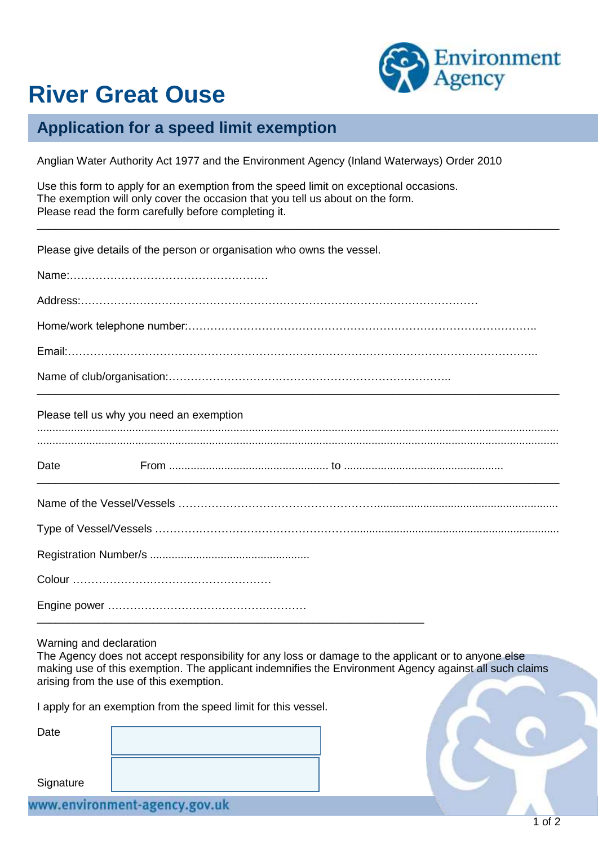

## **River Great Ouse**

## **Application for a speed limit exemption**

Anglian Water Authority Act 1977 and the Environment Agency (Inland Waterways) Order 2010

\_\_\_\_\_\_\_\_\_\_\_\_\_\_\_\_\_\_\_\_\_\_\_\_\_\_\_\_\_\_\_\_\_\_\_\_\_\_\_\_\_\_\_\_\_\_\_\_\_\_\_\_\_\_\_\_\_\_\_\_\_\_\_\_\_\_\_\_\_\_\_\_\_\_\_\_\_\_\_\_\_\_\_\_\_

Use this form to apply for an exemption from the speed limit on exceptional occasions. The exemption will only cover the occasion that you tell us about on the form. Please read the form carefully before completing it.

Please give details of the person or organisation who owns the vessel.

| Please tell us why you need an exemption |
|------------------------------------------|
| Date                                     |
|                                          |
|                                          |
|                                          |
|                                          |
|                                          |

Warning and declaration

The Agency does not accept responsibility for any loss or damage to the applicant or to anyone else making use of this exemption. The applicant indemnifies the Environment Agency against all such claims arising from the use of this exemption.

I apply for an exemption from the speed limit for this vessel.

| Date      |                               |
|-----------|-------------------------------|
| Signature |                               |
|           | www.environment-agency.gov.uk |